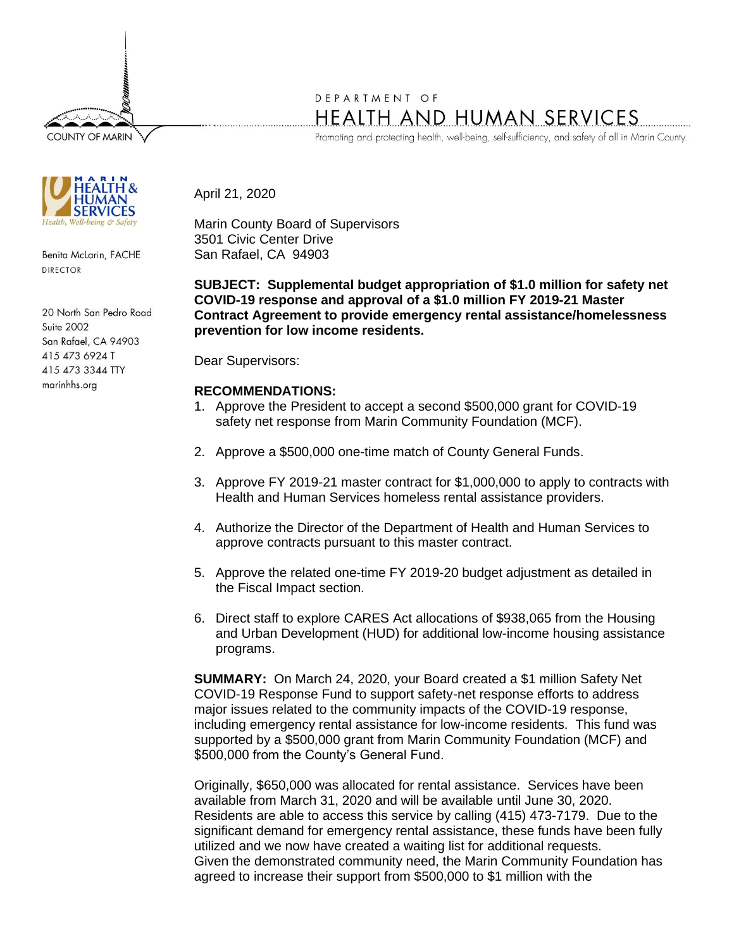**COUNTY OF MARIN** 



Benita McLarin, FACHE **DIRECTOR** 

20 North San Pedro Road Suite 2002 San Rafael, CA 94903 415 473 6924 T 415 473 3344 TTY marinhhs.org

## DEPARTMENT OF HEALTH AND HUMAN SERVICES

Promoting and protecting health, well-being, self-sufficiency, and safety of all in Marin County.

April 21, 2020

Marin County Board of Supervisors 3501 Civic Center Drive San Rafael, CA 94903

**SUBJECT: Supplemental budget appropriation of \$1.0 million for safety net COVID-19 response and approval of a \$1.0 million FY 2019-21 Master Contract Agreement to provide emergency rental assistance/homelessness prevention for low income residents.** 

Dear Supervisors:

## **RECOMMENDATIONS:**

- 1. Approve the President to accept a second \$500,000 grant for COVID-19 safety net response from Marin Community Foundation (MCF).
- 2. Approve a \$500,000 one-time match of County General Funds.
- 3. Approve FY 2019-21 master contract for \$1,000,000 to apply to contracts with Health and Human Services homeless rental assistance providers.
- 4. Authorize the Director of the Department of Health and Human Services to approve contracts pursuant to this master contract.
- 5. Approve the related one-time FY 2019-20 budget adjustment as detailed in the Fiscal Impact section.
- 6. Direct staff to explore CARES Act allocations of \$938,065 from the Housing and Urban Development (HUD) for additional low-income housing assistance programs.

**SUMMARY:** On March 24, 2020, your Board created a \$1 million Safety Net COVID-19 Response Fund to support safety-net response efforts to address major issues related to the community impacts of the COVID-19 response, including emergency rental assistance for low-income residents. This fund was supported by a \$500,000 grant from Marin Community Foundation (MCF) and \$500,000 from the County's General Fund.

Originally, \$650,000 was allocated for rental assistance. Services have been available from March 31, 2020 and will be available until June 30, 2020. Residents are able to access this service by calling (415) 473-7179. Due to the significant demand for emergency rental assistance, these funds have been fully utilized and we now have created a waiting list for additional requests. Given the demonstrated community need, the Marin Community Foundation has agreed to increase their support from \$500,000 to \$1 million with the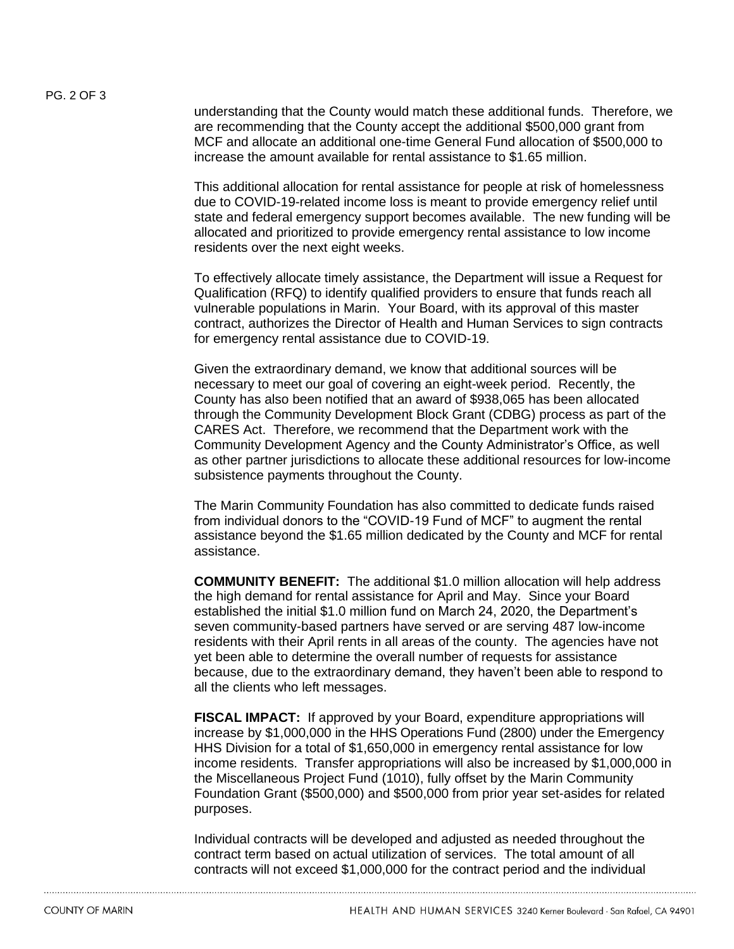understanding that the County would match these additional funds. Therefore, we are recommending that the County accept the additional \$500,000 grant from MCF and allocate an additional one-time General Fund allocation of \$500,000 to increase the amount available for rental assistance to \$1.65 million.

This additional allocation for rental assistance for people at risk of homelessness due to COVID-19-related income loss is meant to provide emergency relief until state and federal emergency support becomes available. The new funding will be allocated and prioritized to provide emergency rental assistance to low income residents over the next eight weeks.

To effectively allocate timely assistance, the Department will issue a Request for Qualification (RFQ) to identify qualified providers to ensure that funds reach all vulnerable populations in Marin. Your Board, with its approval of this master contract, authorizes the Director of Health and Human Services to sign contracts for emergency rental assistance due to COVID-19.

Given the extraordinary demand, we know that additional sources will be necessary to meet our goal of covering an eight-week period. Recently, the County has also been notified that an award of \$938,065 has been allocated through the Community Development Block Grant (CDBG) process as part of the CARES Act. Therefore, we recommend that the Department work with the Community Development Agency and the County Administrator's Office, as well as other partner jurisdictions to allocate these additional resources for low-income subsistence payments throughout the County.

The Marin Community Foundation has also committed to dedicate funds raised from individual donors to the "COVID-19 Fund of MCF" to augment the rental assistance beyond the \$1.65 million dedicated by the County and MCF for rental assistance.

**COMMUNITY BENEFIT:** The additional \$1.0 million allocation will help address the high demand for rental assistance for April and May. Since your Board established the initial \$1.0 million fund on March 24, 2020, the Department's seven community-based partners have served or are serving 487 low-income residents with their April rents in all areas of the county. The agencies have not yet been able to determine the overall number of requests for assistance because, due to the extraordinary demand, they haven't been able to respond to all the clients who left messages.

**FISCAL IMPACT:** If approved by your Board, expenditure appropriations will increase by \$1,000,000 in the HHS Operations Fund (2800) under the Emergency HHS Division for a total of \$1,650,000 in emergency rental assistance for low income residents. Transfer appropriations will also be increased by \$1,000,000 in the Miscellaneous Project Fund (1010), fully offset by the Marin Community Foundation Grant (\$500,000) and \$500,000 from prior year set-asides for related purposes.

Individual contracts will be developed and adjusted as needed throughout the contract term based on actual utilization of services. The total amount of all contracts will not exceed \$1,000,000 for the contract period and the individual